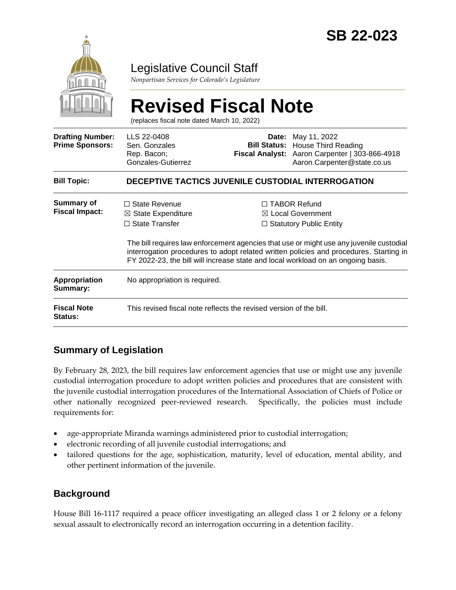

# Legislative Council Staff

*Nonpartisan Services for Colorado's Legislature*

#### **Revised Fiscal Note** (replaces fiscal note dated March 10, 2022) **Drafting Number: Prime Sponsors:** LLS 22-0408 Sen. Gonzales Rep. Bacon; Gonzales-Gutierrez **Date:** May 11, 2022 **Bill Status:** House Third Reading **Fiscal Analyst:** Aaron Carpenter | 303-866-4918 Aaron.Carpenter@state.co.us **Bill Topic: DECEPTIVE TACTICS JUVENILE CUSTODIAL INTERROGATION Summary of Fiscal Impact:** ☐ State Revenue ☒ State Expenditure □ State Transfer ☐ TABOR Refund ☒ Local Government ☐ Statutory Public Entity The bill requires law enforcement agencies that use or might use any juvenile custodial interrogation procedures to adopt related written policies and procedures. Starting in FY 2022-23, the bill will increase state and local workload on an ongoing basis. **Appropriation Summary:** No appropriation is required. **Fiscal Note Status:** This revised fiscal note reflects the revised version of the bill.

## **Summary of Legislation**

By February 28, 2023, the bill requires law enforcement agencies that use or might use any juvenile custodial interrogation procedure to adopt written policies and procedures that are consistent with the juvenile custodial interrogation procedures of the International Association of Chiefs of Police or other nationally recognized peer-reviewed research. Specifically, the policies must include requirements for:

- age-appropriate Miranda warnings administered prior to custodial interrogation;
- electronic recording of all juvenile custodial interrogations; and
- tailored questions for the age, sophistication, maturity, level of education, mental ability, and other pertinent information of the juvenile.

### **Background**

House Bill 16-1117 required a peace officer investigating an alleged class 1 or 2 felony or a felony sexual assault to electronically record an interrogation occurring in a detention facility.